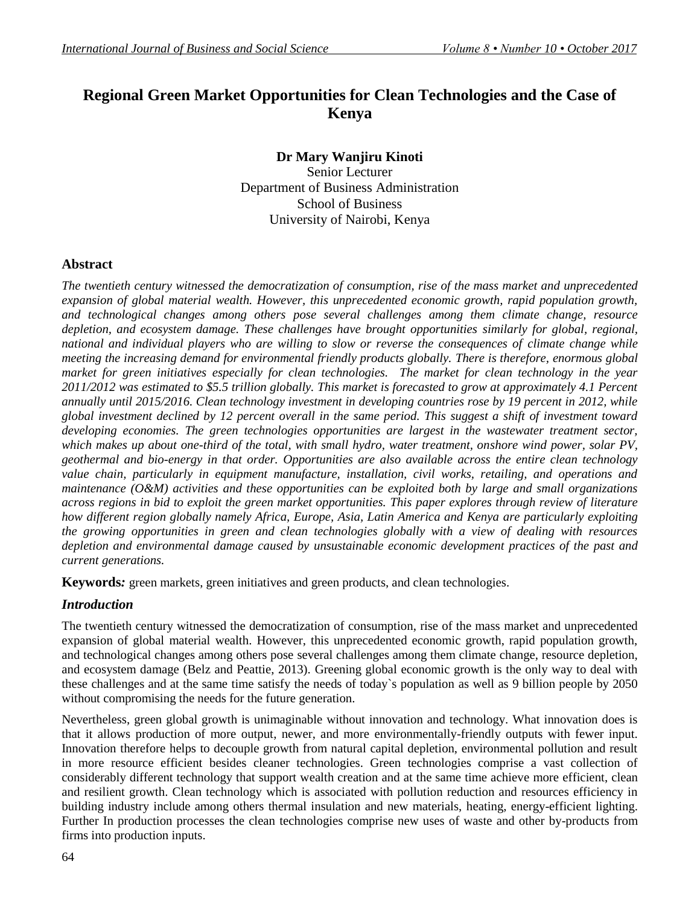# **Regional Green Market Opportunities for Clean Technologies and the Case of Kenya**

# **Dr Mary Wanjiru Kinoti**

Senior Lecturer Department of Business Administration School of Business University of Nairobi, Kenya

#### **Abstract**

*The twentieth century witnessed the democratization of consumption, rise of the mass market and unprecedented expansion of global material wealth. However, this unprecedented economic growth, rapid population growth, and technological changes among others pose several challenges among them climate change, resource depletion, and ecosystem damage. These challenges have brought opportunities similarly for global, regional, national and individual players who are willing to slow or reverse the consequences of climate change while meeting the increasing demand for environmental friendly products globally. There is therefore, enormous global market for green initiatives especially for clean technologies. The market for clean technology in the year 2011/2012 was estimated to \$5.5 trillion globally. This market is forecasted to grow at approximately 4.1 Percent annually until 2015/2016. Clean technology investment in developing countries rose by 19 percent in 2012, while global investment declined by 12 percent overall in the same period. This suggest a shift of investment toward developing economies. The green technologies opportunities are largest in the wastewater treatment sector, which makes up about one-third of the total, with small hydro, water treatment, onshore wind power, solar PV, geothermal and bio-energy in that order. Opportunities are also available across the entire clean technology value chain, particularly in equipment manufacture, installation, civil works, retailing, and operations and maintenance (O&M) activities and these opportunities can be exploited both by large and small organizations across regions in bid to exploit the green market opportunities. This paper explores through review of literature how different region globally namely Africa, Europe, Asia, Latin America and Kenya are particularly exploiting the growing opportunities in green and clean technologies globally with a view of dealing with resources depletion and environmental damage caused by unsustainable economic development practices of the past and current generations.*

**Keywords***:* green markets, green initiatives and green products, and clean technologies.

# *Introduction*

The twentieth century witnessed the democratization of consumption, rise of the mass market and unprecedented expansion of global material wealth. However, this unprecedented economic growth, rapid population growth, and technological changes among others pose several challenges among them climate change, resource depletion, and ecosystem damage (Belz and Peattie, 2013). Greening global economic growth is the only way to deal with these challenges and at the same time satisfy the needs of today`s population as well as 9 billion people by 2050 without compromising the needs for the future generation.

Nevertheless, green global growth is unimaginable without innovation and technology. What innovation does is that it allows production of more output, newer, and more environmentally-friendly outputs with fewer input. Innovation therefore helps to decouple growth from natural capital depletion, environmental pollution and result in more resource efficient besides cleaner technologies. Green technologies comprise a vast collection of considerably different technology that support wealth creation and at the same time achieve more efficient, clean and resilient growth. Clean technology which is associated with pollution reduction and resources efficiency in building industry include among others thermal insulation and new materials, heating, energy-efficient lighting. Further In production processes the clean technologies comprise new uses of waste and other by-products from firms into production inputs.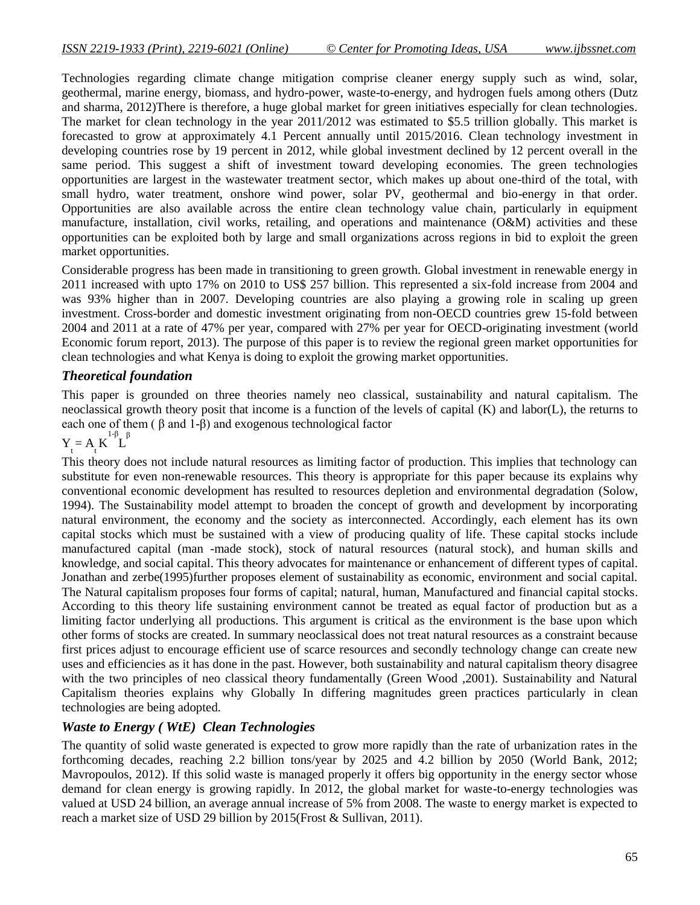Technologies regarding climate change mitigation comprise cleaner energy supply such as wind, solar, geothermal, marine energy, biomass, and hydro-power, waste-to-energy, and hydrogen fuels among others (Dutz and sharma, 2012)There is therefore, a huge global market for green initiatives especially for clean technologies. The market for clean technology in the year 2011/2012 was estimated to \$5.5 trillion globally. This market is forecasted to grow at approximately 4.1 Percent annually until 2015/2016. Clean technology investment in developing countries rose by 19 percent in 2012, while global investment declined by 12 percent overall in the same period. This suggest a shift of investment toward developing economies. The green technologies opportunities are largest in the wastewater treatment sector, which makes up about one-third of the total, with small hydro, water treatment, onshore wind power, solar PV, geothermal and bio-energy in that order. Opportunities are also available across the entire clean technology value chain, particularly in equipment manufacture, installation, civil works, retailing, and operations and maintenance (O&M) activities and these opportunities can be exploited both by large and small organizations across regions in bid to exploit the green market opportunities.

Considerable progress has been made in transitioning to green growth. Global investment in renewable energy in 2011 increased with upto 17% on 2010 to US\$ 257 billion. This represented a six-fold increase from 2004 and was 93% higher than in 2007. Developing countries are also playing a growing role in scaling up green investment. Cross-border and domestic investment originating from non-OECD countries grew 15-fold between 2004 and 2011 at a rate of 47% per year, compared with 27% per year for OECD-originating investment (world Economic forum report, 2013). The purpose of this paper is to review the regional green market opportunities for clean technologies and what Kenya is doing to exploit the growing market opportunities.

#### *Theoretical foundation*

This paper is grounded on three theories namely neo classical, sustainability and natural capitalism. The neoclassical growth theory posit that income is a function of the levels of capital (K) and labor(L), the returns to each one of them ( β and 1-β) and exogenous technological factor

$$
Y_t = A_t K^{1-\beta} L^{\beta}
$$

This theory does not include natural resources as limiting factor of production. This implies that technology can substitute for even non-renewable resources. This theory is appropriate for this paper because its explains why conventional economic development has resulted to resources depletion and environmental degradation (Solow, 1994). The Sustainability model attempt to broaden the concept of growth and development by incorporating natural environment, the economy and the society as interconnected. Accordingly, each element has its own capital stocks which must be sustained with a view of producing quality of life. These capital stocks include manufactured capital (man -made stock), stock of natural resources (natural stock), and human skills and knowledge, and social capital. This theory advocates for maintenance or enhancement of different types of capital. Jonathan and zerbe(1995)further proposes element of sustainability as economic, environment and social capital. The Natural capitalism proposes four forms of capital; natural, human, Manufactured and financial capital stocks. According to this theory life sustaining environment cannot be treated as equal factor of production but as a limiting factor underlying all productions. This argument is critical as the environment is the base upon which other forms of stocks are created. In summary neoclassical does not treat natural resources as a constraint because first prices adjust to encourage efficient use of scarce resources and secondly technology change can create new uses and efficiencies as it has done in the past. However, both sustainability and natural capitalism theory disagree with the two principles of neo classical theory fundamentally (Green Wood ,2001). Sustainability and Natural Capitalism theories explains why Globally In differing magnitudes green practices particularly in clean technologies are being adopted.

# *Waste to Energy ( WtE) Clean Technologies*

The quantity of solid waste generated is expected to grow more rapidly than the rate of urbanization rates in the forthcoming decades, reaching 2.2 billion tons/year by 2025 and 4.2 billion by 2050 (World Bank, 2012; Mavropoulos, 2012). If this solid waste is managed properly it offers big opportunity in the energy sector whose demand for clean energy is growing rapidly. In 2012, the global market for waste-to-energy technologies was valued at USD 24 billion, an average annual increase of 5% from 2008. The waste to energy market is expected to reach a market size of USD 29 billion by 2015(Frost & Sullivan, 2011).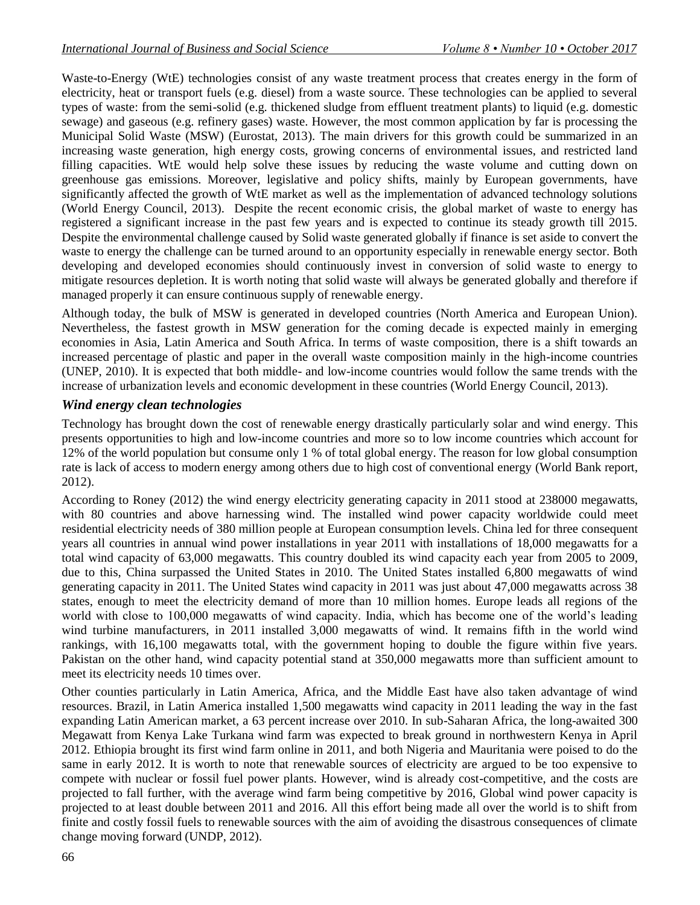Waste-to-Energy (WtE) technologies consist of any waste treatment process that creates energy in the form of electricity, heat or transport fuels (e.g. diesel) from a waste source. These technologies can be applied to several types of waste: from the semi-solid (e.g. thickened sludge from effluent treatment plants) to liquid (e.g. domestic sewage) and gaseous (e.g. refinery gases) waste. However, the most common application by far is processing the Municipal Solid Waste (MSW) (Eurostat, 2013). The main drivers for this growth could be summarized in an increasing waste generation, high energy costs, growing concerns of environmental issues, and restricted land filling capacities. WtE would help solve these issues by reducing the waste volume and cutting down on greenhouse gas emissions. Moreover, legislative and policy shifts, mainly by European governments, have significantly affected the growth of WtE market as well as the implementation of advanced technology solutions (World Energy Council, 2013). Despite the recent economic crisis, the global market of waste to energy has registered a significant increase in the past few years and is expected to continue its steady growth till 2015. Despite the environmental challenge caused by Solid waste generated globally if finance is set aside to convert the waste to energy the challenge can be turned around to an opportunity especially in renewable energy sector. Both developing and developed economies should continuously invest in conversion of solid waste to energy to mitigate resources depletion. It is worth noting that solid waste will always be generated globally and therefore if managed properly it can ensure continuous supply of renewable energy.

Although today, the bulk of MSW is generated in developed countries (North America and European Union). Nevertheless, the fastest growth in MSW generation for the coming decade is expected mainly in emerging economies in Asia, Latin America and South Africa. In terms of waste composition, there is a shift towards an increased percentage of plastic and paper in the overall waste composition mainly in the high-income countries (UNEP, 2010). It is expected that both middle- and low-income countries would follow the same trends with the increase of urbanization levels and economic development in these countries (World Energy Council, 2013).

#### *Wind energy clean technologies*

Technology has brought down the cost of renewable energy drastically particularly solar and wind energy. This presents opportunities to high and low-income countries and more so to low income countries which account for 12% of the world population but consume only 1 % of total global energy. The reason for low global consumption rate is lack of access to modern energy among others due to high cost of conventional energy (World Bank report, 2012).

According to Roney (2012) the wind energy electricity generating capacity in 2011 stood at 238000 megawatts, with 80 countries and above harnessing wind. The installed wind power capacity worldwide could meet residential electricity needs of 380 million people at European consumption levels. China led for three consequent years all countries in annual wind power installations in year 2011 with installations of 18,000 megawatts for a total wind capacity of 63,000 megawatts. This country doubled its wind capacity each year from 2005 to 2009, due to this, China surpassed the United States in 2010. The United States installed 6,800 megawatts of wind generating capacity in 2011. The United States wind capacity in 2011 was just about 47,000 megawatts across 38 states, enough to meet the electricity demand of more than 10 million homes. Europe leads all regions of the world with close to 100,000 megawatts of wind capacity. India, which has become one of the world"s leading wind turbine manufacturers, in 2011 installed 3,000 megawatts of wind. It remains fifth in the world wind rankings, with 16,100 megawatts total, with the government hoping to double the figure within five years. Pakistan on the other hand, wind capacity potential stand at 350,000 megawatts more than sufficient amount to meet its electricity needs 10 times over.

Other counties particularly in Latin America, Africa, and the Middle East have also taken advantage of wind resources. Brazil, in Latin America installed 1,500 megawatts wind capacity in 2011 leading the way in the fast expanding Latin American market, a 63 percent increase over 2010. In sub-Saharan Africa, the long-awaited 300 Megawatt from Kenya Lake Turkana wind farm was expected to break ground in northwestern Kenya in April 2012. Ethiopia brought its first wind farm online in 2011, and both Nigeria and Mauritania were poised to do the same in early 2012. It is worth to note that renewable sources of electricity are argued to be too expensive to compete with nuclear or fossil fuel power plants. However, wind is already cost-competitive, and the costs are projected to fall further, with the average wind farm being competitive by 2016, Global wind power capacity is projected to at least double between 2011 and 2016. All this effort being made all over the world is to shift from finite and costly fossil fuels to renewable sources with the aim of avoiding the disastrous consequences of climate change moving forward (UNDP, 2012).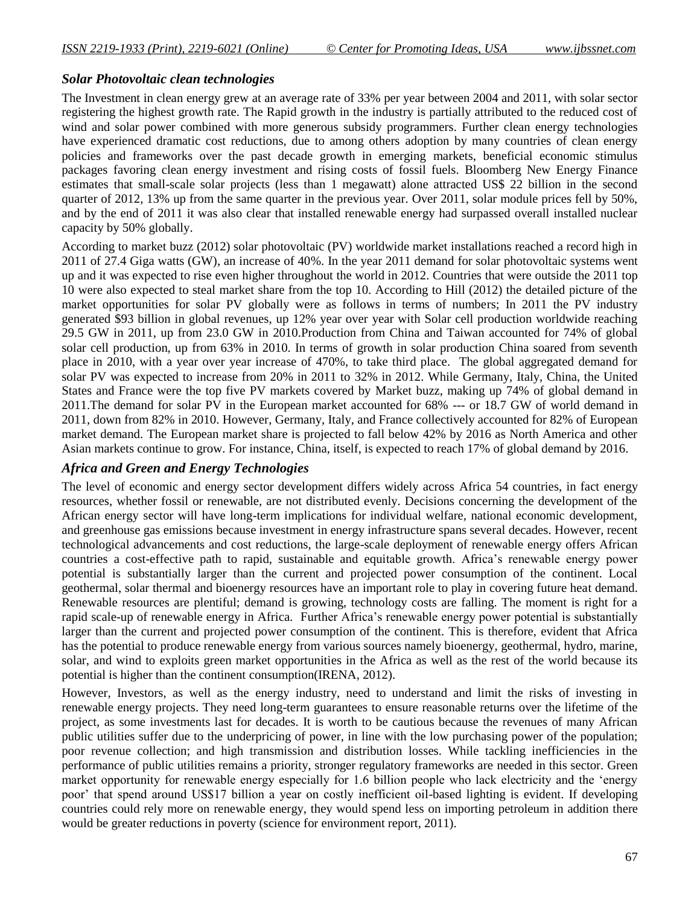#### *Solar Photovoltaic clean technologies*

The Investment in clean energy grew at an average rate of 33% per year between 2004 and 2011, with solar sector registering the highest growth rate. The Rapid growth in the industry is partially attributed to the reduced cost of wind and solar power combined with more generous subsidy programmers. Further clean energy technologies have experienced dramatic cost reductions, due to among others adoption by many countries of clean energy policies and frameworks over the past decade growth in emerging markets, beneficial economic stimulus packages favoring clean energy investment and rising costs of fossil fuels. Bloomberg New Energy Finance estimates that small-scale solar projects (less than 1 megawatt) alone attracted US\$ 22 billion in the second quarter of 2012, 13% up from the same quarter in the previous year. Over 2011, solar module prices fell by 50%, and by the end of 2011 it was also clear that installed renewable energy had surpassed overall installed nuclear capacity by 50% globally.

According to market buzz (2012) solar photovoltaic (PV) worldwide market installations reached a record high in 2011 of 27.4 Giga watts (GW), an increase of 40%. In the year 2011 demand for solar photovoltaic systems went up and it was expected to rise even higher throughout the world in 2012. Countries that were outside the 2011 top 10 were also expected to steal market share from the top 10. According to Hill (2012) the detailed picture of the market opportunities for solar PV globally were as follows in terms of numbers; In 2011 the PV industry generated \$93 billion in global revenues, up 12% year over year with Solar cell production worldwide reaching 29.5 GW in 2011, up from 23.0 GW in 2010.Production from China and Taiwan accounted for 74% of global solar cell production, up from 63% in 2010. In terms of growth in solar production China soared from seventh place in 2010, with a year over year increase of 470%, to take third place. The global aggregated demand for solar PV was expected to increase from 20% in 2011 to 32% in 2012. While Germany, Italy, China, the United States and France were the top five PV markets covered by Market buzz, making up 74% of global demand in 2011.The demand for solar PV in the European market accounted for 68% --- or 18.7 GW of world demand in 2011, down from 82% in 2010. However, Germany, Italy, and France collectively accounted for 82% of European market demand. The European market share is projected to fall below 42% by 2016 as North America and other Asian markets continue to grow. For instance, China, itself, is expected to reach 17% of global demand by 2016.

# *Africa and Green and Energy Technologies*

The level of economic and energy sector development differs widely across Africa 54 countries, in fact energy resources, whether fossil or renewable, are not distributed evenly. Decisions concerning the development of the African energy sector will have long-term implications for individual welfare, national economic development, and greenhouse gas emissions because investment in energy infrastructure spans several decades. However, recent technological advancements and cost reductions, the large-scale deployment of renewable energy offers African countries a cost-effective path to rapid, sustainable and equitable growth. Africa"s renewable energy power potential is substantially larger than the current and projected power consumption of the continent. Local geothermal, solar thermal and bioenergy resources have an important role to play in covering future heat demand. Renewable resources are plentiful; demand is growing, technology costs are falling. The moment is right for a rapid scale-up of renewable energy in Africa. Further Africa"s renewable energy power potential is substantially larger than the current and projected power consumption of the continent. This is therefore, evident that Africa has the potential to produce renewable energy from various sources namely bioenergy, geothermal, hydro, marine, solar, and wind to exploits green market opportunities in the Africa as well as the rest of the world because its potential is higher than the continent consumption(IRENA, 2012).

However, Investors, as well as the energy industry, need to understand and limit the risks of investing in renewable energy projects. They need long-term guarantees to ensure reasonable returns over the lifetime of the project, as some investments last for decades. It is worth to be cautious because the revenues of many African public utilities suffer due to the underpricing of power, in line with the low purchasing power of the population; poor revenue collection; and high transmission and distribution losses. While tackling inefficiencies in the performance of public utilities remains a priority, stronger regulatory frameworks are needed in this sector. Green market opportunity for renewable energy especially for 1.6 billion people who lack electricity and the "energy poor" that spend around US\$17 billion a year on costly inefficient oil-based lighting is evident. If developing countries could rely more on renewable energy, they would spend less on importing petroleum in addition there would be greater reductions in poverty (science for environment report, 2011).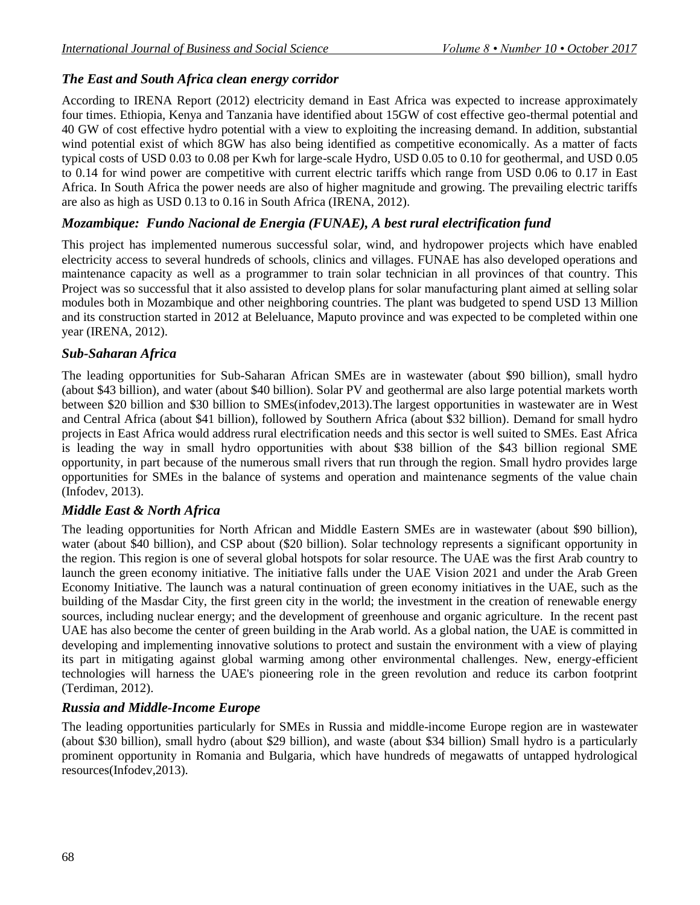# *The East and South Africa clean energy corridor*

According to IRENA Report (2012) electricity demand in East Africa was expected to increase approximately four times. Ethiopia, Kenya and Tanzania have identified about 15GW of cost effective geo-thermal potential and 40 GW of cost effective hydro potential with a view to exploiting the increasing demand. In addition, substantial wind potential exist of which 8GW has also being identified as competitive economically. As a matter of facts typical costs of USD 0.03 to 0.08 per Kwh for large-scale Hydro, USD 0.05 to 0.10 for geothermal, and USD 0.05 to 0.14 for wind power are competitive with current electric tariffs which range from USD 0.06 to 0.17 in East Africa. In South Africa the power needs are also of higher magnitude and growing. The prevailing electric tariffs are also as high as USD 0.13 to 0.16 in South Africa (IRENA, 2012).

# *Mozambique: Fundo Nacional de Energia (FUNAE), A best rural electrification fund*

This project has implemented numerous successful solar, wind, and hydropower projects which have enabled electricity access to several hundreds of schools, clinics and villages. FUNAE has also developed operations and maintenance capacity as well as a programmer to train solar technician in all provinces of that country. This Project was so successful that it also assisted to develop plans for solar manufacturing plant aimed at selling solar modules both in Mozambique and other neighboring countries. The plant was budgeted to spend USD 13 Million and its construction started in 2012 at Beleluance, Maputo province and was expected to be completed within one year (IRENA, 2012).

# *Sub-Saharan Africa*

The leading opportunities for Sub-Saharan African SMEs are in wastewater (about \$90 billion), small hydro (about \$43 billion), and water (about \$40 billion). Solar PV and geothermal are also large potential markets worth between \$20 billion and \$30 billion to SMEs(infodev,2013).The largest opportunities in wastewater are in West and Central Africa (about \$41 billion), followed by Southern Africa (about \$32 billion). Demand for small hydro projects in East Africa would address rural electrification needs and this sector is well suited to SMEs. East Africa is leading the way in small hydro opportunities with about \$38 billion of the \$43 billion regional SME opportunity, in part because of the numerous small rivers that run through the region. Small hydro provides large opportunities for SMEs in the balance of systems and operation and maintenance segments of the value chain (Infodev, 2013).

# *Middle East & North Africa*

The leading opportunities for North African and Middle Eastern SMEs are in wastewater (about \$90 billion), water (about \$40 billion), and CSP about (\$20 billion). Solar technology represents a significant opportunity in the region. This region is one of several global hotspots for solar resource. The UAE was the first Arab country to launch the green economy initiative. The initiative falls under the UAE Vision 2021 and under the Arab Green Economy Initiative. The launch was a natural continuation of green economy initiatives in the UAE, such as the building of the Masdar City, the first green city in the world; the investment in the creation of renewable energy sources, including nuclear energy; and the development of greenhouse and organic agriculture. In the recent past UAE has also become the center of green building in the Arab world. As a global nation, the UAE is committed in developing and implementing innovative solutions to protect and sustain the environment with a view of playing its part in mitigating against global warming among other environmental challenges. New, energy-efficient technologies will harness the UAE's pioneering role in the green revolution and reduce its carbon footprint (Terdiman, 2012).

# *Russia and Middle-Income Europe*

The leading opportunities particularly for SMEs in Russia and middle-income Europe region are in wastewater (about \$30 billion), small hydro (about \$29 billion), and waste (about \$34 billion) Small hydro is a particularly prominent opportunity in Romania and Bulgaria, which have hundreds of megawatts of untapped hydrological resources(Infodev,2013).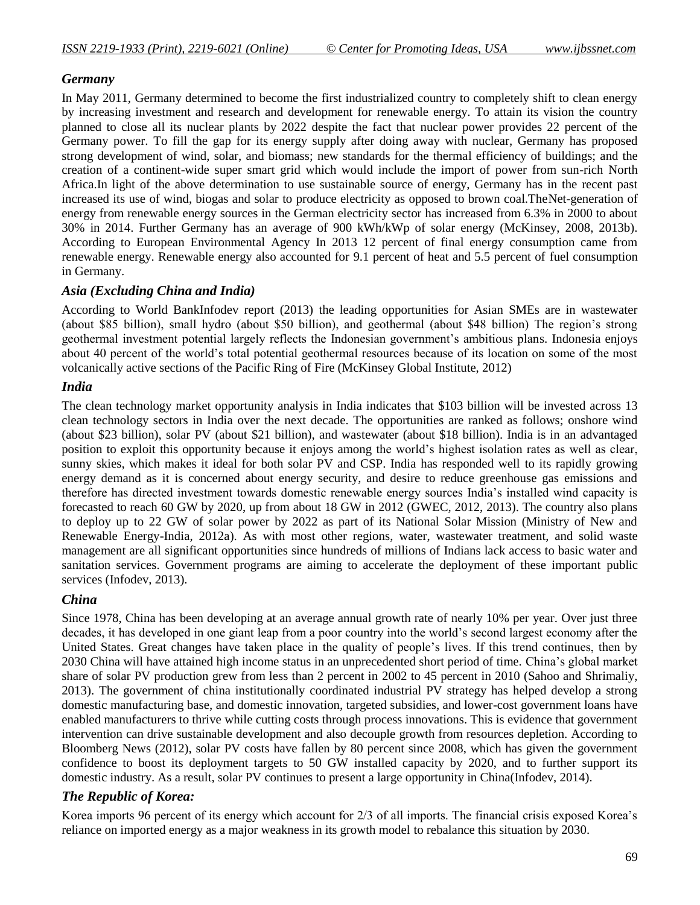#### *Germany*

In May 2011, Germany determined to become the first industrialized country to completely shift to clean energy by increasing investment and research and development for renewable energy. To attain its vision the country planned to close all its nuclear plants by 2022 despite the fact that nuclear power provides 22 percent of the Germany power. To fill the gap for its energy supply after doing away with nuclear, Germany has proposed strong development of wind, solar, and biomass; new standards for the thermal efficiency of buildings; and the creation of a continent-wide super smart grid which would include the import of power from sun-rich North Africa.In light of the above determination to use sustainable source of energy, Germany has in the recent past increased its use of wind, biogas and solar to produce electricity as opposed to brown coal.TheNet-generation of energy from renewable energy sources in the German electricity sector has increased from 6.3% in 2000 to about 30% in 2014. Further Germany has an average of 900 kWh/kWp of solar energy (McKinsey, 2008, 2013b). According to European Environmental Agency In 2013 12 percent of final energy consumption came from renewable energy. Renewable energy also accounted for 9.1 percent of heat and 5.5 percent of fuel consumption in Germany.

#### *Asia (Excluding China and India)*

According to World BankInfodev report (2013) the leading opportunities for Asian SMEs are in wastewater (about \$85 billion), small hydro (about \$50 billion), and geothermal (about \$48 billion) The region"s strong geothermal investment potential largely reflects the Indonesian government"s ambitious plans. Indonesia enjoys about 40 percent of the world"s total potential geothermal resources because of its location on some of the most volcanically active sections of the Pacific Ring of Fire (McKinsey Global Institute, 2012)

# *India*

The clean technology market opportunity analysis in India indicates that \$103 billion will be invested across 13 clean technology sectors in India over the next decade. The opportunities are ranked as follows; onshore wind (about \$23 billion), solar PV (about \$21 billion), and wastewater (about \$18 billion). India is in an advantaged position to exploit this opportunity because it enjoys among the world"s highest isolation rates as well as clear, sunny skies, which makes it ideal for both solar PV and CSP. India has responded well to its rapidly growing energy demand as it is concerned about energy security, and desire to reduce greenhouse gas emissions and therefore has directed investment towards domestic renewable energy sources India"s installed wind capacity is forecasted to reach 60 GW by 2020, up from about 18 GW in 2012 (GWEC, 2012, 2013). The country also plans to deploy up to 22 GW of solar power by 2022 as part of its National Solar Mission (Ministry of New and Renewable Energy-India, 2012a). As with most other regions, water, wastewater treatment, and solid waste management are all significant opportunities since hundreds of millions of Indians lack access to basic water and sanitation services. Government programs are aiming to accelerate the deployment of these important public services (Infodev, 2013).

# *China*

Since 1978, China has been developing at an average annual growth rate of nearly 10% per year. Over just three decades, it has developed in one giant leap from a poor country into the world"s second largest economy after the United States. Great changes have taken place in the quality of people"s lives. If this trend continues, then by 2030 China will have attained high income status in an unprecedented short period of time. China"s global market share of solar PV production grew from less than 2 percent in 2002 to 45 percent in 2010 (Sahoo and Shrimaliy, 2013). The government of china institutionally coordinated industrial PV strategy has helped develop a strong domestic manufacturing base, and domestic innovation, targeted subsidies, and lower-cost government loans have enabled manufacturers to thrive while cutting costs through process innovations. This is evidence that government intervention can drive sustainable development and also decouple growth from resources depletion. According to Bloomberg News (2012), solar PV costs have fallen by 80 percent since 2008, which has given the government confidence to boost its deployment targets to 50 GW installed capacity by 2020, and to further support its domestic industry. As a result, solar PV continues to present a large opportunity in China(Infodev, 2014).

# *The Republic of Korea:*

Korea imports 96 percent of its energy which account for 2/3 of all imports. The financial crisis exposed Korea's reliance on imported energy as a major weakness in its growth model to rebalance this situation by 2030.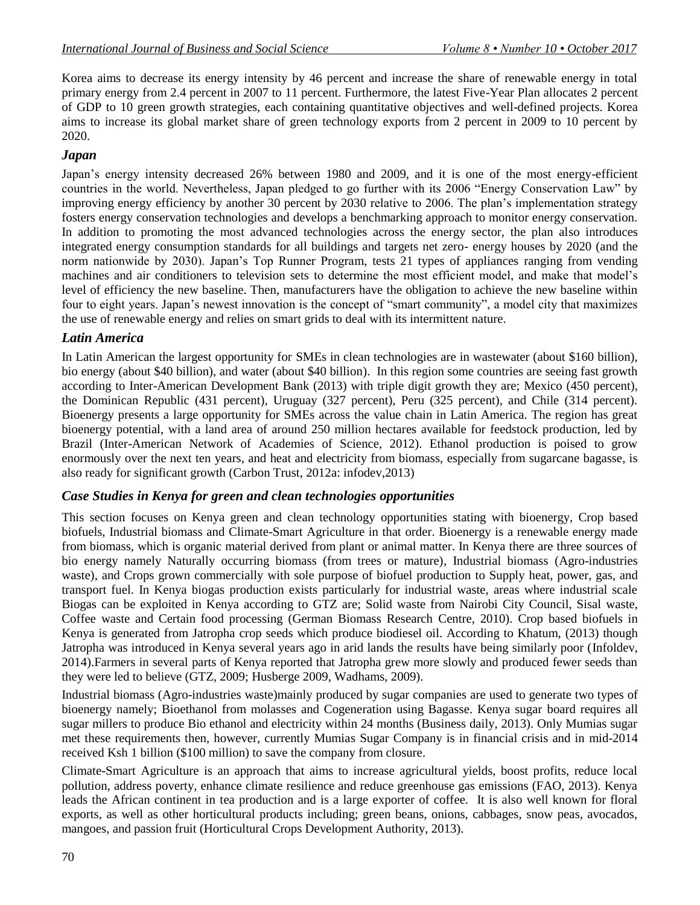Korea aims to decrease its energy intensity by 46 percent and increase the share of renewable energy in total primary energy from 2.4 percent in 2007 to 11 percent. Furthermore, the latest Five-Year Plan allocates 2 percent of GDP to 10 green growth strategies, each containing quantitative objectives and well-defined projects. Korea aims to increase its global market share of green technology exports from 2 percent in 2009 to 10 percent by 2020.

#### *Japan*

Japan"s energy intensity decreased 26% between 1980 and 2009, and it is one of the most energy-efficient countries in the world. Nevertheless, Japan pledged to go further with its 2006 "Energy Conservation Law" by improving energy efficiency by another 30 percent by 2030 relative to 2006. The plan"s implementation strategy fosters energy conservation technologies and develops a benchmarking approach to monitor energy conservation. In addition to promoting the most advanced technologies across the energy sector, the plan also introduces integrated energy consumption standards for all buildings and targets net zero- energy houses by 2020 (and the norm nationwide by 2030). Japan"s Top Runner Program, tests 21 types of appliances ranging from vending machines and air conditioners to television sets to determine the most efficient model, and make that model"s level of efficiency the new baseline. Then, manufacturers have the obligation to achieve the new baseline within four to eight years. Japan"s newest innovation is the concept of "smart community", a model city that maximizes the use of renewable energy and relies on smart grids to deal with its intermittent nature.

#### *Latin America*

In Latin American the largest opportunity for SMEs in clean technologies are in wastewater (about \$160 billion), bio energy (about \$40 billion), and water (about \$40 billion). In this region some countries are seeing fast growth according to Inter-American Development Bank (2013) with triple digit growth they are; Mexico (450 percent), the Dominican Republic (431 percent), Uruguay (327 percent), Peru (325 percent), and Chile (314 percent). Bioenergy presents a large opportunity for SMEs across the value chain in Latin America. The region has great bioenergy potential, with a land area of around 250 million hectares available for feedstock production, led by Brazil (Inter-American Network of Academies of Science, 2012). Ethanol production is poised to grow enormously over the next ten years, and heat and electricity from biomass, especially from sugarcane bagasse, is also ready for significant growth (Carbon Trust, 2012a: infodev,2013)

#### *Case Studies in Kenya for green and clean technologies opportunities*

This section focuses on Kenya green and clean technology opportunities stating with bioenergy, Crop based biofuels, Industrial biomass and Climate-Smart Agriculture in that order. Bioenergy is a renewable energy made from biomass, which is organic material derived from plant or animal matter. In Kenya there are three sources of bio energy namely Naturally occurring biomass (from trees or mature), Industrial biomass (Agro-industries waste), and Crops grown commercially with sole purpose of biofuel production to Supply heat, power, gas, and transport fuel. In Kenya biogas production exists particularly for industrial waste, areas where industrial scale Biogas can be exploited in Kenya according to GTZ are; Solid waste from Nairobi City Council, Sisal waste, Coffee waste and Certain food processing (German Biomass Research Centre, 2010). Crop based biofuels in Kenya is generated from Jatropha crop seeds which produce biodiesel oil. According to Khatum, (2013) though Jatropha was introduced in Kenya several years ago in arid lands the results have being similarly poor (Infoldev, 2014).Farmers in several parts of Kenya reported that Jatropha grew more slowly and produced fewer seeds than they were led to believe (GTZ, 2009; Husberge 2009, Wadhams, 2009).

Industrial biomass (Agro-industries waste)mainly produced by sugar companies are used to generate two types of bioenergy namely; Bioethanol from molasses and Cogeneration using Bagasse. Kenya sugar board requires all sugar millers to produce Bio ethanol and electricity within 24 months (Business daily, 2013). Only Mumias sugar met these requirements then, however, currently Mumias Sugar Company is in financial crisis and in mid-2014 received Ksh 1 billion (\$100 million) to save the company from closure.

Climate-Smart Agriculture is an approach that aims to increase agricultural yields, boost profits, reduce local pollution, address poverty, enhance climate resilience and reduce greenhouse gas emissions (FAO, 2013). Kenya leads the African continent in tea production and is a large exporter of coffee. It is also well known for floral exports, as well as other horticultural products including; green beans, onions, cabbages, snow peas, avocados, mangoes, and passion fruit (Horticultural Crops Development Authority, 2013).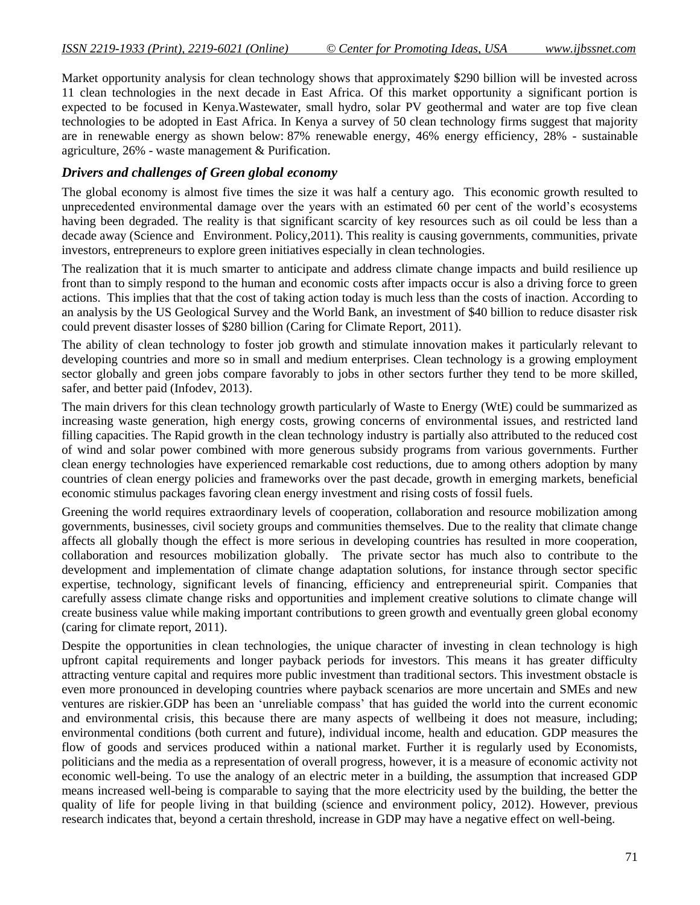Market opportunity analysis for clean technology shows that approximately \$290 billion will be invested across 11 clean technologies in the next decade in East Africa. Of this market opportunity a significant portion is expected to be focused in Kenya.Wastewater, small hydro, solar PV geothermal and water are top five clean technologies to be adopted in East Africa. In Kenya a survey of 50 clean technology firms suggest that majority are in renewable energy as shown below: 87% renewable energy, 46% energy efficiency, 28% - sustainable agriculture, 26% - waste management & Purification.

#### *Drivers and challenges of Green global economy*

The global economy is almost five times the size it was half a century ago. This economic growth resulted to unprecedented environmental damage over the years with an estimated 60 per cent of the world"s ecosystems having been degraded. The reality is that significant scarcity of key resources such as oil could be less than a decade away (Science and Environment. Policy,2011). This reality is causing governments, communities, private investors, entrepreneurs to explore green initiatives especially in clean technologies.

The realization that it is much smarter to anticipate and address climate change impacts and build resilience up front than to simply respond to the human and economic costs after impacts occur is also a driving force to green actions. This implies that that the cost of taking action today is much less than the costs of inaction. According to an analysis by the US Geological Survey and the World Bank, an investment of \$40 billion to reduce disaster risk could prevent disaster losses of \$280 billion (Caring for Climate Report, 2011).

The ability of clean technology to foster job growth and stimulate innovation makes it particularly relevant to developing countries and more so in small and medium enterprises. Clean technology is a growing employment sector globally and green jobs compare favorably to jobs in other sectors further they tend to be more skilled, safer, and better paid (Infodev, 2013).

The main drivers for this clean technology growth particularly of Waste to Energy (WtE) could be summarized as increasing waste generation, high energy costs, growing concerns of environmental issues, and restricted land filling capacities. The Rapid growth in the clean technology industry is partially also attributed to the reduced cost of wind and solar power combined with more generous subsidy programs from various governments. Further clean energy technologies have experienced remarkable cost reductions, due to among others adoption by many countries of clean energy policies and frameworks over the past decade, growth in emerging markets, beneficial economic stimulus packages favoring clean energy investment and rising costs of fossil fuels.

Greening the world requires extraordinary levels of cooperation, collaboration and resource mobilization among governments, businesses, civil society groups and communities themselves. Due to the reality that climate change affects all globally though the effect is more serious in developing countries has resulted in more cooperation, collaboration and resources mobilization globally. The private sector has much also to contribute to the development and implementation of climate change adaptation solutions, for instance through sector specific expertise, technology, significant levels of financing, efficiency and entrepreneurial spirit. Companies that carefully assess climate change risks and opportunities and implement creative solutions to climate change will create business value while making important contributions to green growth and eventually green global economy (caring for climate report, 2011).

Despite the opportunities in clean technologies, the unique character of investing in clean technology is high upfront capital requirements and longer payback periods for investors. This means it has greater difficulty attracting venture capital and requires more public investment than traditional sectors. This investment obstacle is even more pronounced in developing countries where payback scenarios are more uncertain and SMEs and new ventures are riskier.GDP has been an "unreliable compass" that has guided the world into the current economic and environmental crisis, this because there are many aspects of wellbeing it does not measure, including; environmental conditions (both current and future), individual income, health and education. GDP measures the flow of goods and services produced within a national market. Further it is regularly used by Economists, politicians and the media as a representation of overall progress, however, it is a measure of economic activity not economic well-being. To use the analogy of an electric meter in a building, the assumption that increased GDP means increased well-being is comparable to saying that the more electricity used by the building, the better the quality of life for people living in that building (science and environment policy, 2012). However, previous research indicates that, beyond a certain threshold, increase in GDP may have a negative effect on well-being.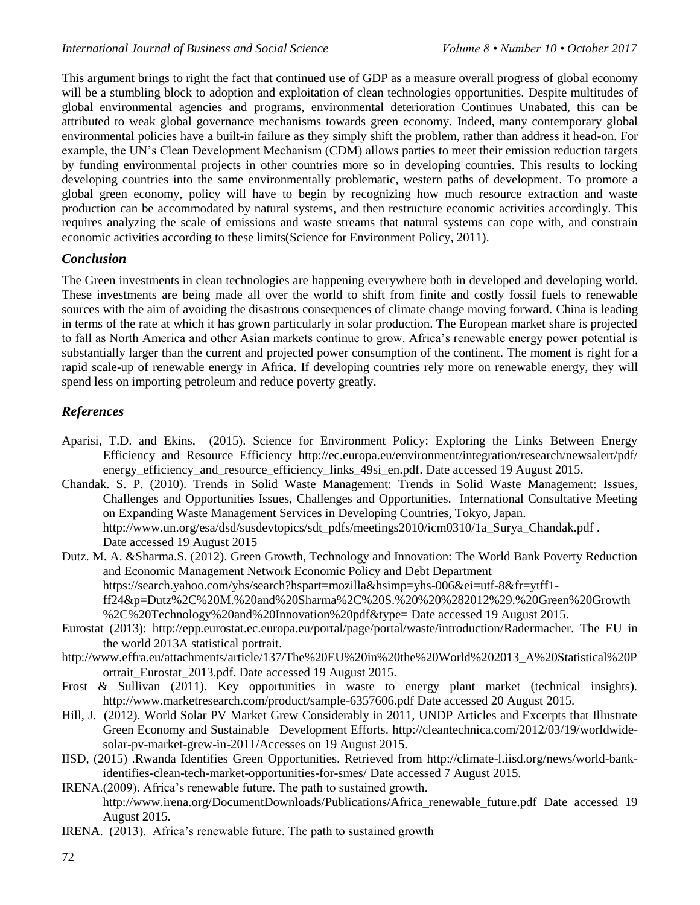This argument brings to right the fact that continued use of GDP as a measure overall progress of global economy will be a stumbling block to adoption and exploitation of clean technologies opportunities. Despite multitudes of global environmental agencies and programs, environmental deterioration Continues Unabated, this can be attributed to weak global governance mechanisms towards green economy. Indeed, many contemporary global environmental policies have a built-in failure as they simply shift the problem, rather than address it head-on. For example, the UN"s Clean Development Mechanism (CDM) allows parties to meet their emission reduction targets by funding environmental projects in other countries more so in developing countries. This results to locking developing countries into the same environmentally problematic, western paths of development. To promote a global green economy, policy will have to begin by recognizing how much resource extraction and waste production can be accommodated by natural systems, and then restructure economic activities accordingly. This requires analyzing the scale of emissions and waste streams that natural systems can cope with, and constrain economic activities according to these limits(Science for Environment Policy, 2011).

#### *Conclusion*

The Green investments in clean technologies are happening everywhere both in developed and developing world. These investments are being made all over the world to shift from finite and costly fossil fuels to renewable sources with the aim of avoiding the disastrous consequences of climate change moving forward. China is leading in terms of the rate at which it has grown particularly in solar production. The European market share is projected to fall as North America and other Asian markets continue to grow. Africa"s renewable energy power potential is substantially larger than the current and projected power consumption of the continent. The moment is right for a rapid scale-up of renewable energy in Africa. If developing countries rely more on renewable energy, they will spend less on importing petroleum and reduce poverty greatly.

# *References*

- Aparisi, T.D. and Ekins, (2015). Science for Environment Policy: Exploring the Links Between Energy Efficiency and Resource Efficiency <http://ec.europa.eu/environment/integration/research/newsalert/pdf/> energy efficiency and resource efficiency links 49si en.pdf. Date accessed 19 August 2015.
- Chandak. S. P. (2010). Trends in Solid Waste Management: Trends in Solid Waste Management: Issues, Challenges and Opportunities Issues, Challenges and Opportunities. International Consultative Meeting on Expanding Waste Management Services in Developing Countries, Tokyo, Japan. http://www.un.org/esa/dsd/susdevtopics/sdt\_pdfs/meetings2010/icm0310/1a\_Surya\_Chandak.pdf . Date accessed 19 August 2015
- Dutz. M. A. &Sharma.S. (2012). Green Growth, Technology and Innovation: The World Bank Poverty Reduction and Economic Management Network Economic Policy and Debt Department https://search.yahoo.com/yhs/search?hspart=mozilla&hsimp=yhs-006&ei=utf-8&fr=ytff1 ff24&p=Dutz%2C%20M.%20and%20Sharma%2C%20S.%20%20%282012%29.%20Green%20Growth %2C%20Technology%20and%20Innovation%20pdf&type= Date accessed 19 August 2015.
- Eurostat (2013): [http://epp.eurostat.ec.europa.eu/portal/page/portal/waste/introduction/R](http://epp.eurostat.ec.europa.eu/portal/page/portal/waste/introduction/)adermacher. The EU in the world 2013A statistical portrait.
- http://www.effra.eu/attachments/article/137/The%20EU%20in%20the%20World%202013\_A%20Statistical%20P ortrait\_Eurostat\_2013.pdf. Date accessed 19 August 2015.
- Frost & Sullivan (2011). Key opportunities in waste to energy plant market (technical insights). http://www.marketresearch.com/product/sample-6357606.pdf Date accessed 20 August 2015.
- Hill, J. (2012). World Solar PV Market Grew Considerably in 2011, UNDP Articles and Excerpts that Illustrate Green Economy and Sustainable Development Efforts. http://cleantechnica.com/2012/03/19/worldwidesolar-pv-market-grew-in-2011/Accesses on 19 August 2015.
- IISD, (2015) .Rwanda Identifies Green Opportunities. Retrieved from [http://climate-l.iisd.org/news/world-bank](http://climate-l.iisd.org/news/world-bank-identifies-)[identifies-c](http://climate-l.iisd.org/news/world-bank-identifies-)lean-tech-market-opportunities-for-smes/ Date accessed 7 August 2015.
- IRENA.(2009). Africa"s renewable future. The path to sustained growth. [http://www.irena.org/D](http://www.irena.org/)ocumentDownloads/Publications/Africa\_renewable\_future.pdf Date accessed 19 August 2015.
- IRENA. (2013). Africa"s renewable future. The path to sustained growth